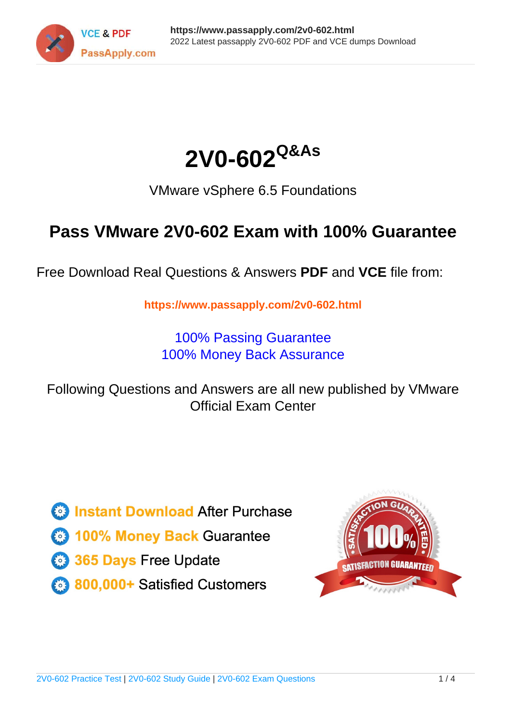



VMware vSphere 6.5 Foundations

## **Pass VMware 2V0-602 Exam with 100% Guarantee**

Free Download Real Questions & Answers **PDF** and **VCE** file from:

**https://www.passapply.com/2v0-602.html**

100% Passing Guarantee 100% Money Back Assurance

Following Questions and Answers are all new published by VMware Official Exam Center

**C** Instant Download After Purchase

**83 100% Money Back Guarantee** 

- 365 Days Free Update
- 800,000+ Satisfied Customers

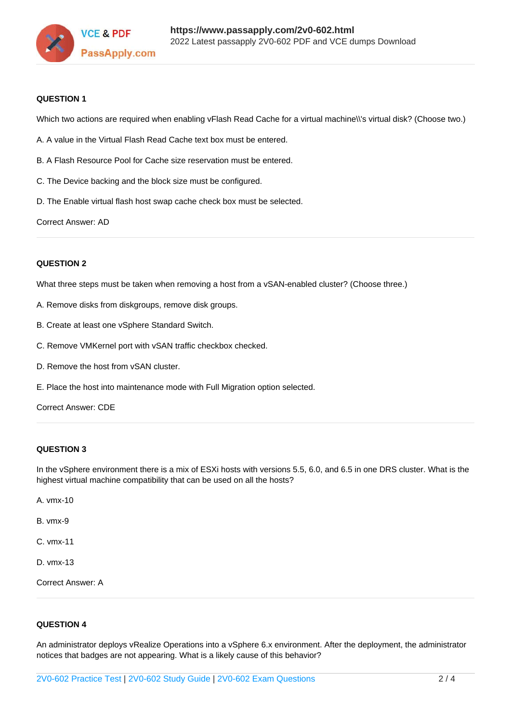

### **QUESTION 1**

Which two actions are required when enabling vFlash Read Cache for a virtual machine\\'s virtual disk? (Choose two.)

- A. A value in the Virtual Flash Read Cache text box must be entered.
- B. A Flash Resource Pool for Cache size reservation must be entered.
- C. The Device backing and the block size must be configured.
- D. The Enable virtual flash host swap cache check box must be selected.

Correct Answer: AD

### **QUESTION 2**

What three steps must be taken when removing a host from a vSAN-enabled cluster? (Choose three.)

- A. Remove disks from diskgroups, remove disk groups.
- B. Create at least one vSphere Standard Switch.
- C. Remove VMKernel port with vSAN traffic checkbox checked.
- D. Remove the host from vSAN cluster.
- E. Place the host into maintenance mode with Full Migration option selected.

Correct Answer: CDE

### **QUESTION 3**

In the vSphere environment there is a mix of ESXi hosts with versions 5.5, 6.0, and 6.5 in one DRS cluster. What is the highest virtual machine compatibility that can be used on all the hosts?

- A. vmx-10
- B. vmx-9
- C. vmx-11
- D. vmx-13

Correct Answer: A

### **QUESTION 4**

An administrator deploys vRealize Operations into a vSphere 6.x environment. After the deployment, the administrator notices that badges are not appearing. What is a likely cause of this behavior?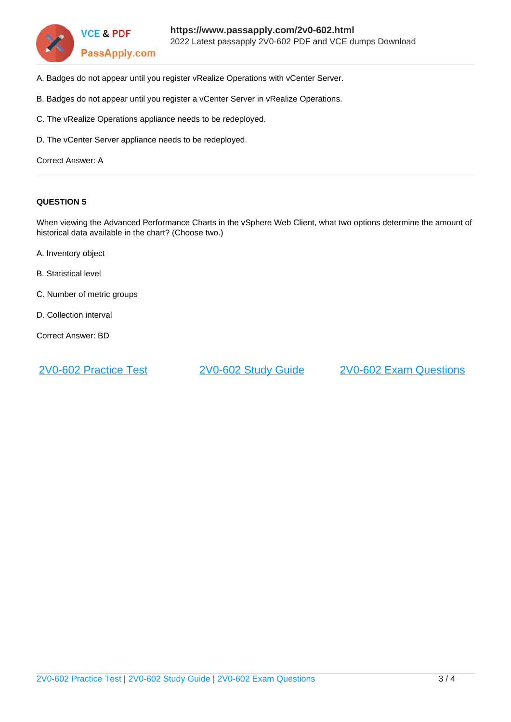

- A. Badges do not appear until you register vRealize Operations with vCenter Server.
- B. Badges do not appear until you register a vCenter Server in vRealize Operations.
- C. The vRealize Operations appliance needs to be redeployed.
- D. The vCenter Server appliance needs to be redeployed.

Correct Answer: A

### **QUESTION 5**

When viewing the Advanced Performance Charts in the vSphere Web Client, what two options determine the amount of historical data available in the chart? (Choose two.)

- A. Inventory object
- B. Statistical level
- C. Number of metric groups
- D. Collection interval

Correct Answer: BD

[2V0-602 Practice Test](https://www.passapply.com/2v0-602.html) [2V0-602 Study Guide](https://www.passapply.com/2v0-602.html) [2V0-602 Exam Questions](https://www.passapply.com/2v0-602.html)